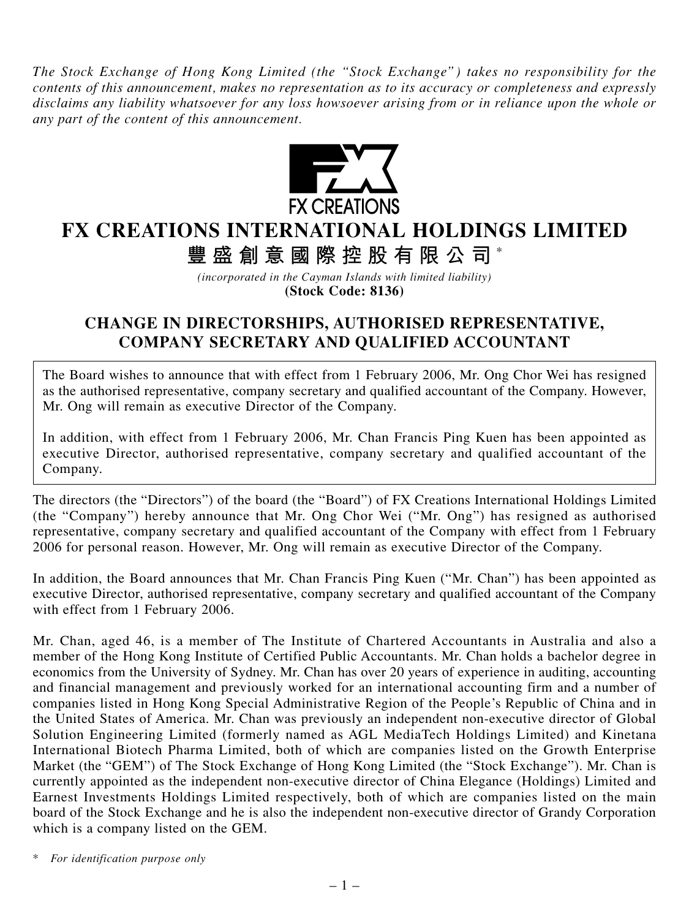*The Stock Exchange of Hong Kong Limited (the "Stock Exchange") takes no responsibility for the contents of this announcement, makes no representation as to its accuracy or completeness and expressly disclaims any liability whatsoever for any loss howsoever arising from or in reliance upon the whole or any part of the content of this announcement.*



## **FX CREATIONS INTERNATIONAL HOLDINGS LIMITED**

**豐盛創意國際控股有限公司** \*

*(incorporated in the Cayman Islands with limited liability)* **(Stock Code: 8136)**

## **CHANGE IN DIRECTORSHIPS, AUTHORISED REPRESENTATIVE, COMPANY SECRETARY AND QUALIFIED ACCOUNTANT**

The Board wishes to announce that with effect from 1 February 2006, Mr. Ong Chor Wei has resigned as the authorised representative, company secretary and qualified accountant of the Company. However, Mr. Ong will remain as executive Director of the Company.

In addition, with effect from 1 February 2006, Mr. Chan Francis Ping Kuen has been appointed as executive Director, authorised representative, company secretary and qualified accountant of the Company.

The directors (the "Directors") of the board (the "Board") of FX Creations International Holdings Limited (the "Company") hereby announce that Mr. Ong Chor Wei ("Mr. Ong") has resigned as authorised representative, company secretary and qualified accountant of the Company with effect from 1 February 2006 for personal reason. However, Mr. Ong will remain as executive Director of the Company.

In addition, the Board announces that Mr. Chan Francis Ping Kuen ("Mr. Chan") has been appointed as executive Director, authorised representative, company secretary and qualified accountant of the Company with effect from 1 February 2006.

Mr. Chan, aged 46, is a member of The Institute of Chartered Accountants in Australia and also a member of the Hong Kong Institute of Certified Public Accountants. Mr. Chan holds a bachelor degree in economics from the University of Sydney. Mr. Chan has over 20 years of experience in auditing, accounting and financial management and previously worked for an international accounting firm and a number of companies listed in Hong Kong Special Administrative Region of the People's Republic of China and in the United States of America. Mr. Chan was previously an independent non-executive director of Global Solution Engineering Limited (formerly named as AGL MediaTech Holdings Limited) and Kinetana International Biotech Pharma Limited, both of which are companies listed on the Growth Enterprise Market (the "GEM") of The Stock Exchange of Hong Kong Limited (the "Stock Exchange"). Mr. Chan is currently appointed as the independent non-executive director of China Elegance (Holdings) Limited and Earnest Investments Holdings Limited respectively, both of which are companies listed on the main board of the Stock Exchange and he is also the independent non-executive director of Grandy Corporation which is a company listed on the GEM.

*\* For identification purpose only*